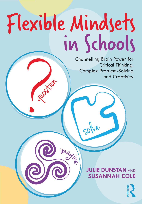# Flexible Mindsets in Schools

imagis

**Channelling Brain Power for** Critical Thinking, **Complex Problem-Solving** and Creativity

## **JULIE DUNSTAN AND SUSANNAH COLE**

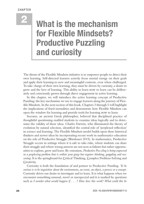## 2 **What is the mechanism for Flexible Mindsets? Productive Puzzling and curiosity**

The thrust of the Flexible Mindsets initiative is to empower people to direct their own learning. Self-directed learners actively focus mental energy on their goals and apply their learning to new and meaningful contexts, even when challenged. To take charge of their own learning, they must be driven by curiosity, a desire to grow and the love of learning. This ability to learn how to learn can be deliberately and consciously grown through direct engagement in active learning.

In this chapter, we will introduce the active learning concept of Productive Puzzling: the key mechanism we use to engage learners along the journey of Flexible Mindsets. In the next section of this book, Chapters 3 through 5 will highlight the implications of fxed mentalities and demonstrate how Flexible Mindsets can open the window for learning and provide tools for learning how to learn.

Socrates, an ancient Greek philosopher, believed that disciplined practice of thoughtful questioning enabled students to examine ideas logically and to determine the validity of those ideas. Charles Darwin, who illuminated the theory of evolution by natural selection, identifed the central role of 'perplexed refection' in science and learning. The Flexible Mindsets model builds upon these historical thinkers and newer ideas by incorporating recent work in mathematics education on the role of Productive Struggle (Warshauer 2015). In mathematics, Productive Struggle occurs in settings where it is safe to take risks, where students can share their struggle and where wrong answers are not seen as failures but rather opportunities to explore, grow and learn. By extension, *Productive Puzzling is being engrossed in a perplexing problem that is within your grasp but requires thinking, grappling and reasoning*. It is the springboard for Critical Thinking, Complex Problem-Solving and Creativity.

 such as *I wonder what would happen if* . . . *? How does this work? What could this be*  Curiosity is both the foundation of and partner to Productive Puzzling. *To be curious is to be inquisitive about the environment, an event, an object, a process or a concept*. Curiosity drives our desire to investigate and to learn. It is what happens when we encounter something unusual, novel or unexpected and it is marked by questions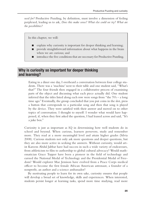*used for?* Productive Puzzling, by defnition, must involve a dimension of feeling perplexed, leading us to ask, *Does this make sense? What else could we try? What are the possibilities?* 

In this chapter, we will:

- explain why curiosity is important for deeper thinking and learning;
- n provide straightforward information about what happens in the brain when we are curious; and
- introduce the five conditions that are necessary for Productive Puzzling.

#### **Why is curiosity so important for deeper thinking and learning?**

Eating in a diner one day, I overheard a conversation between four college students. There was a 'machine' next to their table and one student said, "What's that?" The four friends then engaged in a collaborative process of examining parts of the object and discussing what each piece actually did. One student inferred that the titles listed along each row were songs from "the 70's – a long time ago." Eventually, the group concluded that you put coins in the slot, press a button that corresponds to a particular song and then that song is played by the device. They were satisfed with their answer and moved on to other topics of conversation. I thought to myself: I wonder what would have happened, if, when they frst asked the question, I had leaned across and said, "It's a juke box."

Curiosity is just as important as IQ in determining how well students do in school and beyond. When curious, learners persevere, study and remember more. They read at a more meaningful level and attain higher grades (Silvia 2008). Curious students not only ask more questions and deeper questions, but they are also more active in seeking the answers. Without curiosity, would artist Kareem Abdul Jabbar have had success in such a wide variety of endeavours, from athleticism to flm to authorship to global cultural advocacy? Would mathematician Grace Topper have been a pioneer in the feld of technology and earned the National Medal of Technology and the Presidential Medal of Freedom? Would explorer Mae Jemison have evolved from a Peace Corps medical officer to become the first female African American astronaut, a founder of a nonproft, an author and a science ambassador?

By motivating people to learn for its own sake, curiosity ensures that people will develop a broad set of knowledge, skills and experiences. When interested, students persist longer at learning tasks, spend more time studying, read more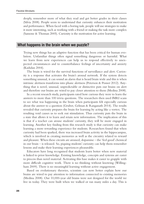deeply, remember more of what they read and get better grades in their classes (Silvia 2008). People seem to understand that curiosity enhances their motivation and performance. When faced with a boring task, people will use strategies to make it more interesting, such as working with a friend or making the task more complex (Sansone & Thoman 2005). Curiosity is the motivation for active learning.

#### **What happens in the brain when we puzzle?**

Trying new things has an adaptive function that has been critical for human evolution. Unfamiliar things often signal something dangerous or harmful. What we learn from new experiences can help us to respond efectively to unexpected circumstances and to counterbalance feelings of uncertainty and anxiety (Kashdan 2004).

The brain is wired for the survival functions of surveillance and alert. Curiosity is a response that activates the brain's arousal network. If the system detects something unusual, it can sound an alarm that is heard brain wide and this is when intrinsic alertness transforms into phasic alertness (Peterson & Posner 2012). Anything that is novel, unusual, unpredictable or distinctive puts our brains on alert and therefore our brains are wired to pay closer attention to them (Medina 2008).

In a recent research study, participants rated how curious they were to learn the answers to more than 100 trivia questions. The researchers then used fMRI scans to see what was happening in the brain when participants felt especially curious about the answer to a question (Gruber, Gelman & Ranganath 2014). The results revealed that curiosity prepares the brain for learning by acting like a vortex. The resulting void causes us to seek out stimulation. Thus curiosity puts the brain in a state that allows it to learn and retain new information. The implication of this is that if a teacher can arouse students' curiosity, they will be more engaged in learning. Another key fnding from this research study is that curiosity can make learning a more rewarding experience for students. Researchers found that when curiosity had been sparked, there was increased brain activity in the hippocampus, which is involved in creating memories as well as the circuitry related to reward and pleasure. When these circuits are aroused, dopamine – the 'feel good' chemical in our brain – is released. So, piquing students' curiosity can help them remember lessons and make their learning experiences pleasurable.

Educators have long recognised that students learn better when new material is linked to prior knowledge. Existing knowledge, concepts and systems are easier to process than novel material. Activating this base makes it easier to grapple with more difficult cognitive work. There is no thinking without knowing (Willingham 2009). There is no meaningful learning without active engagement.

Based on evolutionary theories, scientists can now better explain how our brains are wired to pay attention to information connected to existing memories (Medina 2008). Our 10,000-year old brains were not designed for the world we live in today. They were built when we walked or ran many miles a day. This is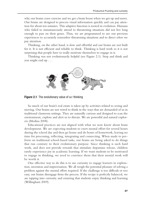why our brains crave exercise and we get a brain boost when we get up and move. Our brains are designed to process visual information quickly and can pay attention for about ten minutes. This adaptive function is rooted in evolution. Humans who failed to instantaneously attend to threatening situations did not live long enough to pass on their genes. Thus, we are programmed to use our previous experiences to accurately remember threatening situations and to direct *where* we pay attention.

Thinking, on the other hand, is slow and effortful and our brains are not built for it. It is not efficient and reliable to think. Thinking is hard work so it is not surprising that people have to really motivate themselves to engage in it.

 you might end up . . . Thinking was not evolutionarily helpful (see Figure 2.1). Stop and think and



**Figure 2.1** The evolutionary value of  $NOT$  thinking

So much of our brain's real estate is taken up by activities related to seeing and moving. Our brains are not wired to think in the ways that are demanded of us in traditional classroom settings. They are naturally curious and designed to scan the environment, explore and alert us to threats. We are powerful and natural explorers (Medina 2008).

Educational practices are not aligned with what we now know about brain development. We are expecting students to exert mental efort for several hours during the school day and then go home and do hours of homework, leaving no time for processing, refecting, integrating and connecting. When made to perform on traditional school-based tasks, our brains are being asked to do things that run contrary to their evolutionary purpose. Since thinking is such hard work, and does not provide rewards that stimulate dopamine release, children rarely experience joy in academic learning. If we want students to be motivated to engage in thinking, we need to convince them that their mental work will be worth it.

One efective way to do this is to use curiosity to engage learners in exploration, invention and improvisation. We all weigh the potential pleasure of solving a problem against the mental effort required. If the challenge is too difficult or too easy, our brains disengage from the process. If the recipe is perfectly balanced, we are tapping into curiosity and ensuring that students enjoy thinking and learning (Willingham 2009).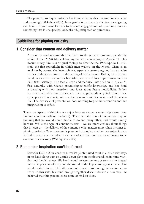The potential to pique curiosity lies in experiences that are emotionally laden and meaningful (Medina 2008). Incongruity is particularly efective for engaging our brains. If you want learners to become engaged and ask questions, present something that is unexpected, odd, absurd, juxtaposed or humorous.

#### **Guidelines for piquing curiosity**

#### **1 Consider that content and delivery matter**

A group of students attends a feld trip to the science museum, specifcally to watch the IMAX flm celebrating the 50th anniversary of Apollo 11. This documentary flm uses original footage to describe the 1969 Apollo 11 mission, the frst spacefight in which men walked on the Moon. Ciana is an explorer by nature: she loves science, especially astronomy, and has a precise replica of the solar system on the ceiling of her bedroom. Esther, on the other hand, is an artist: she writes beautiful poetry and loves epic shows such as *Star Trek: Discovery*. The factual style and technical information in *Apollo 11*  fuse naturally with Ciana's preexisting scientifc knowledge and her head is buzzing with new questions and ideas about future possibilities. Esther has an entirely diferent experience. She comprehends very little about basic concepts such as gravity and acceleration and can't access most of the material. The dry style of presentation does nothing to grab her attention and her imagination is stifed.

There are aspects of thinking we enjoy because we get a sense of pleasure from fnding solutions (solving problems). There are also lots of things that require thinking that we would never choose to do and many others that would simply bore us. While the type of content matters – we are more curious about things that interest us – the delivery of the content is what matters most when it comes to piquing curiosity. When content is presented through a medium we enjoy, is connected to a story or includes an element of surprise, even the most boring topic can spur our curiosity (Willingham 2009).

#### **2 Remember inspiration can't be forced**

Salvador Dali, a 20th-century surrealist painter, used to sit in a chair with keys in his hand along with an upside down plate on the foor and let his mind wander until he fell asleep. His hand would release the keys as soon as he slipped into a deeper state of sleep and the sound of the keys clinking on a metal plate would wake him up. This little amount of rest is just enough to awaken creativity. In this state, his mind brought together distant ideas in a new way. He believed that this process led to some of his best ideas.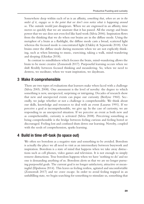Somewhere deep within each of us is an afnity, *something that, when we are in the midst of it, engages us to the point that we don't even notice what is happening around us*. The outside world just disappears. When we are engrossed in an afnity, time moves so quickly that we are unaware that it has passed. All the energy and brain power that we use does not even feel like hard work (Silvia 2006). Inspiration fows from the thinking that we do when our brains are in the difuse mode. Using the metaphor of a brain as a fashlight, the difuse mode casts a broad, scattered light whereas the focused mode is concentrated light (Oakley & Sejnowski 2018). Our brains enter the difuse mode during moments when we are not explicitly thinking, such as when listening to music, exercising, taking a walk, mind-wandering and sleeping (Gkiokas 2018).

In contrast to mindfulness which focuses the brain, mind-wandering allows the brain to be more creative (Zomorodi 2017). Purposeful learning occurs when we shift fexibly between focused thinking and meandering. So, when we need to destress, we meditate; when we want inspiration, we daydream.

#### **3 Make it comprehensible**

There are two types of evaluations that learners make when faced with a challenge (Silvia 2005; 2008). One assessment is the level of novelty: the degree to which something is new, unexpected, surprising or intriguing. Decades of research show that new and unexpected events can pique our curiosity (Berlyne 1960). Secondly, we judge whether or not a challenge is comprehensible. We think about our skills, knowledge and resources to deal with an event (Lazarus 1991). If we perceive a goal as incomprehensible, we give up. In the case of curiosity, we are responding to an unexpected situation. If we perceive an event as both new and as comprehensible, curiosity is activated (Silvia 2008). Perceiving something as being comprehensible is the bridge between feeling curious and feeling bored or discouraged. Feeling lost and confused shuts down our learning. Novelty, coupled with the seeds of comprehension, sparks learning.

#### **4 Build in time off-task (to space out)**

We often see boredom as a negative state and something to be avoided. Boredom is actually the place we all need to visit as an intermediary between busywork and inspiration. Boredom is a state of mind that happens when we take away distractions such as cell phones, video games and television. It is not enough to simply remove distractions. True boredom happens when we have 'nothing to do' and no one is demanding anything of us. Boredom alerts us that we are no longer pursuing purposeful goals. The current goal is no longer satisfactory, attractive or meaningful (Elpidorou 2014). This leaves us feeling restless, agitated and uncomfortable (Zomorodi 2017) and we crave escape. In order to avoid feeling trapped in an unfulflling state, we begin searching for something to stimulate us, something that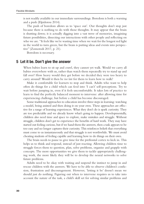is not readily available in our immediate surroundings. Boredom is both a warning and a push (Elpidorou 2014).

The push of boredom allows us to 'space out'. Our thoughts don't stop just because there is nothing to do with those thoughts. It may appear that the brain is shutting down; it is actually digging into a vast trove of memories, imagining future possibilities, dissecting our interactions with other people and refecting on who we are. "It feels like we're wasting time when we wait for the longest red light in the world to turn green, but the brain is putting ideas and events into perspective" (Zomorodi 2017, p. 21).

Boredom is necessary.

#### **5 Let it be. Don't give the answer**

When babies learn to sit up and crawl, they cannot yet walk. Would we carry all babies everywhere with us, rather than watch them repeatedly try to stand up and fall over? How heavy would they get before we decided they were too heavy to carry around? Would it then be *too late* for them to learn how to walk?

Make it comfortable for learners to stop and think. Adults who want to help often do things for a child which can feed into 'I can't' self-perceptions. Try to wait before jumping in, even if it feels uncomfortable. It takes lots of practice to learn to fnd the perfectly balanced moment to intervene: after allowing time for experiencing challenge, but before a child has become discouraged.

Some traditional approaches to education involve three steps in learning: watching a model, being assisted and then doing it on your own. These approaches are efective for a range of learning experiences. What they don't do is spark curiosity. They are too predictable and we already know what's going to happen. Developmentally, children also need time and space to explore, make mistakes and struggle. Without struggle, children don't get to experience the benefts of hard work. They may have started out feeling curious, but if we hand them the answers, then a task appears to be too easy and no longer captures their curiosity. This reinforces beliefs that everything must come to us instantaneously and that struggle is not worthwhile. We must avoid cheating students of feeling capable and learning how to do things on their own.

The brain needs to pause to give time for the prefrontal cortex to kick in. This helps us to think and respond, instead of just reacting. Allowing children time to struggle forces them to question, plan, solve problems, organise and grapple with concepts. The more opportunities we give them to tackle appropriately challenging work, the more likely they will be to develop the neural networks to solve future problems.

Adults need to be okay with waiting and suspend the instinct to jump in and rescue children with the answers. We have to be able to observe children's confusion, frustration and discouragement. However, 'letting it be' doesn't mean we should just do nothing. Figuring out when to intervene requires us to take into account the nature of the task, a child's skill set for solving similar problems and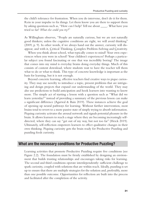the child's tolerance for frustration. When you do intervene, don't do it for them. Rein in your impulse to fx things. Let them know you are there to support them by asking questions such as, "How can I help? Tell me about \_\_\_\_. What have you tried so far? *What else could you try?*"

As Willingham observes, "People are naturally curious, but we are not naturally good thinkers; unless the cognitive conditions are right, we will avoid thinking" (2009, p. 9). In other words, if we always hand out the answer, curiosity will disappear, and with it, Critical Thinking, Complex Problem-Solving and Creativity.

When you think about school, what typically comes to mind? Your own experiences when you were in school? Your children's experiences? Perhaps a particular subject you found fascinating or one that was incredibly boring? The image that comes into my mind is everyday brains doing everyday things. Much of this consists of content download, where students wait to have the teacher tell them what to do or what to think. This type of concrete knowledge is important as the basis for learning, but it is not enough.

Beyond concrete learning, efective teachers fnd creative ways to pique curiosity. They may use novelty to introduce a topic, present problems that are intriguing and design projects that expand our understanding of the world. They may also use predictions to build anticipation and hook learners into wanting to know more. The simple act of starting a lesson with a question such as "What did we learn yesterday?" instead of providing a summary of the previous lesson can make a signifcant diference (Agarwal & Bain 2019). These instances achieve the goal of opening up neural pathways for learning. Without further intervention, most brains tend to revert to a more passive state of simply trying to absorb information. Piquing curiosity activates the arousal network and signals potential pleasure in the brain. It allows learners to reach a stage where they are becoming increasingly selfdirected, where they can say "get out of my way, but not too far" (Heick 2019). Ultimately, self-refection empowers learners to efect qualitative changes in their own thinking. Piquing curiosity gets the brain ready for Productive Puzzling and puzzling feeds curiosity.

#### **What are the necessary conditions for Productive Puzzling?**

Learning activities that promote Productive Puzzling require fve conditions (see [Figure 2.2\)](#page-9-0). The foundation must be frmly established by designing an environment that builds trusting relationships and encourages taking risks for learning. The second and third conditions operate interdependently: sufficient challenge to spark curiosity, coupled with solutions that are within reach. Ideally, puzzling is set up to ensure that there are multiple strategies for the solution and, preferably, more than one possible outcome. Opportunities for refection are built into the process and facilitated after the completion of the activity.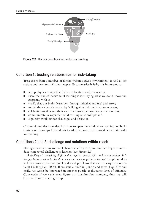<span id="page-9-0"></span>

**Figure 2.2** The five conditions for Productive Puzzling

### **Condition 1: trusting relationships for risk-taking**

Trust arises from a number of factors within a given environment as well as the actions and reactions of other people. To summarise briefy, it is important to:

- $\Box$  set up physical spaces that invite exploration and co-creation;
- n share that the cornerstone of learning is identifying what we don't know and grappling with it;
- n clarify that our brains learn best through mistakes and trial and error;
- model the value of mistakes by 'talking aloud' through our own errors;
- $\Box$  celebrate mistakes and their role in creativity, innovation and inventions;
- $\Box$  communicate in ways that build trusting relationships; and
- explicitly troubleshoot challenges and obstacles.

Chapter 4 provides more detail on how to open the window for learning and build trusting relationships for students to ask questions, make mistakes and take risks for learning.

#### **Conditions 2 and 3: challenge and solutions within reach**

Having created an environment characterised by trust, we can then begin to introduce conceptual challenges to learners (see [Figure 2.3\)](#page-10-0).

A challenge is something difficult that requires mental effort and determination. It is *the gap between what is already known and what is yet to be learned*. People tend to seek out novelty, but we quickly discard problems that are too easy or too diffcult (Willingham 2009). If we start a Sudoku puzzle and solve it quickly and easily, we won't be interested in another puzzle at the same level of difficulty. Conversely, if we can't even fgure out the frst few numbers, then we will become frustrated and give up.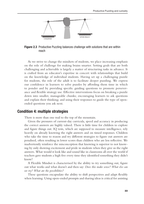<span id="page-10-0"></span>

Figure 2.3 Productive Puzzling balances challenge with solutions that are within reach

As we strive to change the mindsets of students, we place increasing emphasis on the role of challenge for making brains smarter. Setting goals that are both challenging and achievable is largely a matter of structuring tasks in advance. It is crafted from an educator's expertise in concert with relationships that build on the knowledge of individual students. Having set up a challenging puzzle for students, the role of the adult is to facilitate deeper puzzling. We express our confidence in learners to solve puzzles by affording them time in which to ponder and by providing specific guiding questions to promote perseverance and flexible strategy use. Effective interventions focus on breaking a puzzle down into smaller, manageable chunks; encouraging learners to ask questions and explain their thinking; and using their responses to guide the type of openended questions you ask next.

#### **Condition 4: multiple strategies**

There is more than one trail to the top of the mountain.

Given the pressures of current- day curricula, speed and accuracy in producing the correct answers are highly valued. There is little time for children to explore and figure things out. IQ tests, which are supposed to measure intelligence, rely heavily on already knowing the right answers and on timed responses. Children who take the time to reason and try different strategies to figure out answers are penalised, often resulting in lower scores than children who are less reflective. We inadvertently reinforce the misconception that knowing is superior to not knowing by only showing excitement and pride in students when they give us the right answers. What would it look like and sound like in classrooms all over the world if teachers gave students a high five every time they identified something they didn't know?

A Flexible Mindset is characterised by the ability to try something out, figure out what works and what doesn't and then say: *Does this make sense? What else can we try? What are the possibilities?*

These questions encapsulate the ability to shift perspectives and adapt flexibly when learning. Using open-ended prompts and sharing ideas is critical for assisting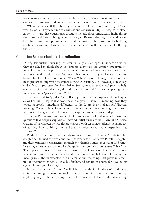learners to recognise that there are multiple ways to reason, many strategies that can lead to a solution and endless possibilities for what something can become.

When learners shift fexibly, they are comfortable with 'not knowing' (Duckworth 2006). They take time to generate and evaluate multiple strategies (Meltzer 2010). It is rare that educational practices include direct instruction highlighting the value of diferent thoughts and strategies. Before selecting puzzles that can be solved using multiple strategies, set the climate in the classroom by building trusting relationships. Ensure that learners feel secure with the sharing of difering thoughts.

#### **Condition 5: opportunities for refection**

During Productive Puzzling, children initially are engaged in refection when they are asked to think about the process. However, the greatest opportunities for refection often happen at the end of an activity or lesson. Metacognition and refection work hand in hand. As learners become increasingly self-aware, they are better able to refect upon 'What Works When'. Direct strategy instruction has been proven to improve how students transfer learning, use knowledge creatively and refect on processes (Meltzer 2013). Strategies such as retrieval practice help students to identify what they do and do not know and focus on deepening their understanding (Agarwal & Bain 2019).

Students need to 'go deep' in refecting upon their strengths and challenges, as well as the strategies that work best in a given situation. Predicting how they would approach something diferently in the future is critical for self-directed learning. Once students have begun to understand and use the language of selfrefection, dialogue in the classroom can explore puzzles at greater depths.

To stoke Productive Puzzling, students must learn to ask and answer the kinds of questions that deepen exploration beyond initial curiosity (see 'Carefully Crafted Questions' in Chapter 5). Adults are charged with teaching students the language of learning: how to think, listen and speak in ways that facilitate deeper learning (Wilson 2015).

Productive Puzzling is the underlying mechanism for Flexible Mindsets. This chapter has defned the fve conditions necessary for Productive Puzzling. Applying these principles consistently through the Flexible Mindsets Spiral of Refective Learning allows educators to take charge in their own classrooms (see [Table 2.1](#page-12-0)). These practices create a culture where students feel comfortable taking learningrelated risks, use strategies fexibly and persevere when challenged. Noticing the incongruous, the unexpected, the unfamiliar and the things that provoke a feeling of discomfort entices us to delve further and sets us on course for developing agency in our own learning.

In the next section, Chapter 3 will elaborate on the implications of fxed mentalities in closing the window for learning. Chapter 4 will set the foundation by exploring ways to build trusting relationships so students feel comfortable asking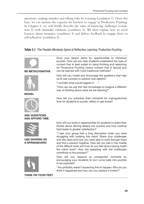<span id="page-12-0"></span>questions, making mistakes and taking risks for learning (condition 1). From this base, we can nurture the capacity for learners to engage in Productive Puzzling. In Chapter 5, we will briefy describe the value of balancing challenges (condition 2) with attainable solutions (condition 3). We then explain how to teach learners about strategies (condition 4) and deliver feedback to engage them in self-refection (condition 5).

#### **Table 2.1** The Flexible Mindsets Spiral of Refective Learning: Productive Puzzling



THINK ON YOUR FEET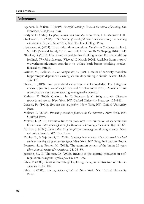#### **References**

- Agarwal, P., & Bain, P. (2019). *Powerful teaching: Unleash the science of learning*. San Francisco, CA: Jossey-Bass.
- Berlyne, D. (1960). *Confict, arousal, and curiosity*. New York, NY: McGraw-Hill.
- Duckworth, E. (2006). *"The having of wonderful ideas" and other essays on teaching and learning*. 3rd ed. New York, NY: Teachers College Press.
- Elpidorou, A. (2014). The bright side of boredom. *Frontiers in Psychology* [online]. **5**, 1245. [Viewed 14 July 2019]. Available from: [doi.10.3389/fpsyg.2014.01245](https://doi.org/10.3389/fpsyg.2014.01245)
- Gkiokas, D. (2018). How to utilize both brain's thinking modes: Focused vs difuse [online]. *The Meta Learners*. [Viewed 12 March 2020]. Available from: [https://](https://www.themetalearners.com)  [www.themetalearners.com/how-to-utilize-both-brains-thinking-modes](https://www.themetalearners.com)[focused-vs-difuse/](https://www.themetalearners.com)
- Gruber, M., Gelman, B., & Ranganath, C. (2014). States of curiosity modulate hippocampus-dependent learning via the dopaminergic circuit. *Neuron*. **84**(2), 486–496.
- Heick, T. (2019). From procedural knowledge to self knowledge: The 4 stages of curiosity [online]. *teachthought*. [Viewed 10 November 2019]. Available from: [www.teachthought.com/learning/4-stages-of-curiosity/](http://www.teachthought.com)
- Kashdan, T. (2004). Curiosity. In: C. Peterson & M. Seligman, eds. *Character strengths and virtues*. New York, NY: Oxford University Press. pp. 125–141.
- Lazarus, R. (1991). *Emotion and adaptation*. New York, NY: Oxford University Press.
- Meltzer, L. (2010). *Promoting executive function in the classroom*. New York, NY: Guilford Press.
- Meltzer, L. (2013). Executive function processes: The foundation of academic and life success. *International Journal for Research in Learning Disabilities*. **1**(2), 31–63.
- Medina, J. (2008). *Brain rules: 12 principles for surviving and thriving at work, home, and school*. Seattle, WA: Pear Press.
- Oakley, B., & Sejnowski, T. (2018). *Learning how to learn: How to succeed in school without spending all your time studying*. New York, NY: Penguin Random House.
- Peterson, S., & Posner, M. (2012). The attention system of the brain: 20 years after. *Annual review of neuroscience*. **35**, 73–89.
- Sansone, C., & Thoman, D. (2005). Interest as the missing motivator in selfregulation. *European Psychologist*. **10**, 175–186.
- Silvia, P. (2005). What is interesting? Exploring the appraisal structure of interest. *Emotion*. **5**, 89–102.
- Silvia, P. (2006). *The psychology of interest*. New York, NY: Oxford University Press.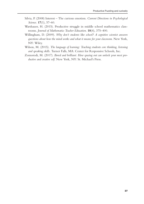- Silvia, P. (2008) Interest The curious emotion. *Current Directions in Psychological Science*. **17**(1), 57–60.
- Warshauer, H. (2015). Productive struggle in middle school mathematics classrooms. *Journal of Mathematics Teacher Education*. **18**(4), 375–400.
- Willingham, D. (2009). *Why don't students like school? A cognitive scientist answers questions about how the mind works and what it means for your classroom*. New York, NY: Wiley.
- Wilson, M. (2015). *The language of learning: Teaching students core thinking, listening and speaking skills*. Turner Falls, MA: Center for Responsive Schools, Inc.
- Zomorodi, M. (2017). *Bored and brilliant: How spacing out can unlock your most productive and creative self*. New York, NY: St. Michael's Press.